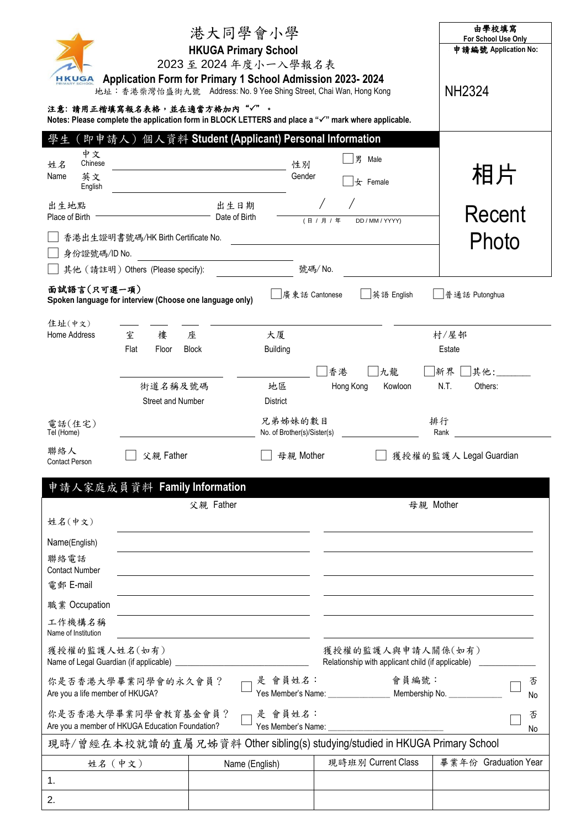|                                              |                                                                        | 港大同學會小學                                                                                                                                                                             |                                                                                                     | 由學校填寫<br>For School Use Only<br>申請編號 Application No: |
|----------------------------------------------|------------------------------------------------------------------------|-------------------------------------------------------------------------------------------------------------------------------------------------------------------------------------|-----------------------------------------------------------------------------------------------------|------------------------------------------------------|
| <b>HKUGA</b>                                 |                                                                        | <b>HKUGA Primary School</b><br>2023至2024年度小一入學報名表<br>Application Form for Primary 1 School Admission 2023-2024<br>地址:香港柴灣怡盛街九號 Address: No. 9 Yee Shing Street, Chai Wan, Hong Kong |                                                                                                     | <b>NH2324</b>                                        |
|                                              |                                                                        | 注意: 請用正楷填寫報名表格,並在適當方格加內"√"。                                                                                                                                                         | Notes: Please complete the application form in BLOCK LETTERS and place a "√" mark where applicable. |                                                      |
|                                              |                                                                        | 即申請人)個人資料 Student (Applicant) Personal Information                                                                                                                                  |                                                                                                     |                                                      |
| 中文<br>Chinese<br>姓名<br>英文<br>Name<br>English |                                                                        |                                                                                                                                                                                     | 男 Male<br>性別<br>Gender<br>$\pm$ Female                                                              | 相片                                                   |
| 出生地點<br>Place of Birth                       |                                                                        | 出生日期<br>Date of Birth                                                                                                                                                               | (日 / 月 / 年<br>DD / MM / YYYY)                                                                       | Recent                                               |
| 身份證號碼/ID No.                                 | 香港出生證明書號碼/HK Birth Certificate No.                                     |                                                                                                                                                                                     |                                                                                                     | Photo                                                |
|                                              | 其他 (請註明) Others (Please specify):                                      |                                                                                                                                                                                     | 號碼/No.                                                                                              |                                                      |
| 面試語言(只可選一項)                                  | Spoken language for interview (Choose one language only)               |                                                                                                                                                                                     | 廣東話 Cantonese<br>英語 English                                                                         | 普通話 Putonghua                                        |
| 住址(中文)<br>Home Address                       | 室<br>樓                                                                 | 大厦<br>座                                                                                                                                                                             |                                                                                                     | 村/屋邨                                                 |
|                                              | Flat<br>Floor                                                          | <b>Block</b><br><b>Building</b>                                                                                                                                                     |                                                                                                     | Estate                                               |
|                                              |                                                                        |                                                                                                                                                                                     | 香港<br>九龍                                                                                            | 新界<br>其他:                                            |
|                                              | 街道名稱及號碼                                                                | 地區                                                                                                                                                                                  | Kowloon<br>Hong Kong                                                                                | N.T.<br>Others:                                      |
|                                              | <b>Street and Number</b>                                               | <b>District</b>                                                                                                                                                                     |                                                                                                     |                                                      |
| 電話(住宅)<br>Tel (Home)                         |                                                                        | 兄弟姊妹的數目<br>No. of Brother(s)/Sister(s)                                                                                                                                              |                                                                                                     | 排行<br>Rank                                           |
| 聯絡人<br><b>Contact Person</b>                 | 父親 Father                                                              |                                                                                                                                                                                     | 母親 Mother                                                                                           | 獲授權的監護人 Legal Guardian                               |
|                                              | 申請人家庭成員資料 Family Information                                           |                                                                                                                                                                                     |                                                                                                     |                                                      |
|                                              |                                                                        | 父親 Father                                                                                                                                                                           |                                                                                                     | 母親 Mother                                            |
| 姓名(中文)                                       |                                                                        |                                                                                                                                                                                     |                                                                                                     |                                                      |
| Name(English)<br>聯絡電話                        |                                                                        |                                                                                                                                                                                     |                                                                                                     |                                                      |
| <b>Contact Number</b><br>電郵 E-mail           |                                                                        |                                                                                                                                                                                     |                                                                                                     |                                                      |
| 職業 Occupation                                |                                                                        |                                                                                                                                                                                     |                                                                                                     |                                                      |
| 工作機構名稱<br>Name of Institution                |                                                                        |                                                                                                                                                                                     |                                                                                                     |                                                      |
| 獲授權的監護人姓名(如有)                                |                                                                        |                                                                                                                                                                                     | 獲授權的監護人與申請人關係(如有)<br>Relationship with applicant child (if applicable)                              |                                                      |
| Are you a life member of HKUGA?              | 你是否香港大學畢業同學會的永久會員?                                                     | 是 會員姓名:                                                                                                                                                                             | 會員編號:<br>Yes Member's Name: ________________ Membership No. __________                              | 否<br>No                                              |
|                                              | 你是否香港大學畢業同學會教育基金會員?<br>Are you a member of HKUGA Education Foundation? | - 是 會員姓名:                                                                                                                                                                           | Yes Member's Name: Names                                                                            | 否<br>No                                              |
|                                              |                                                                        |                                                                                                                                                                                     | 現時/曾經在本校就讀的直屬兄姊資料 Other sibling(s) studying/studied in HKUGA Primary School                         |                                                      |
|                                              | 姓名 (中文)                                                                | Name (English)                                                                                                                                                                      | 現時班別 Current Class                                                                                  | 畢業年份 Graduation Year                                 |
| 1 <sub>1</sub>                               |                                                                        |                                                                                                                                                                                     |                                                                                                     |                                                      |
| 2.                                           |                                                                        |                                                                                                                                                                                     |                                                                                                     |                                                      |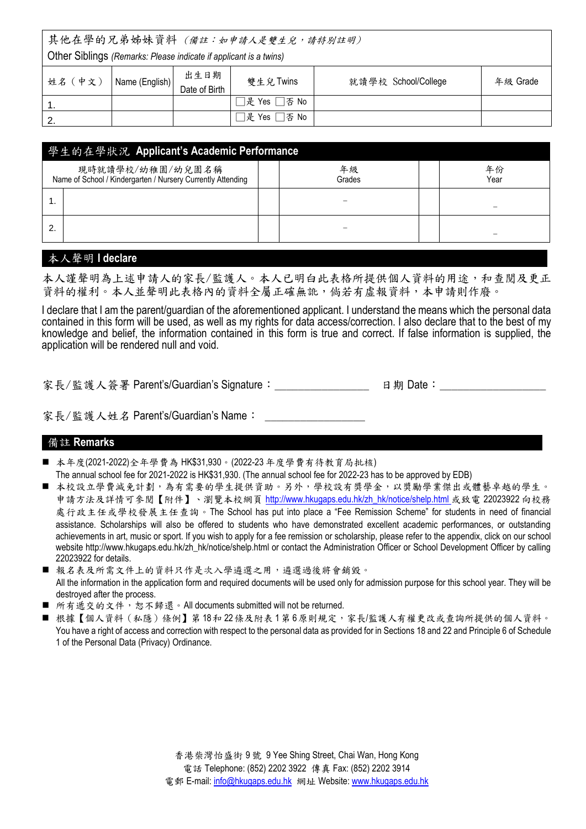其他在學的兄弟姊妹資料 (備註:如申請人是雙生兒,請特別註明)

Other Siblings *(Remarks: Please indicate if applicant is a twins)*

| 姓名 (中文) | Name (English) | 出生日期<br>Date of Birth | 雙生兒 Twins    | 就讀學校 School/College | 年級 Grade |
|---------|----------------|-----------------------|--------------|---------------------|----------|
|         |                |                       | □是 Yes □否 No |                     |          |
|         |                |                       | □是 Yes □否 No |                     |          |

|                                                                                 | 學生的在學狀況 Applicant's Academic Performance |  |              |  |            |  |
|---------------------------------------------------------------------------------|------------------------------------------|--|--------------|--|------------|--|
| 現時就讀學校/幼稚園/幼兒園名稱<br>Name of School / Kindergarten / Nursery Currently Attending |                                          |  | 年級<br>Grades |  | 年份<br>Year |  |
|                                                                                 |                                          |  |              |  |            |  |
| າ                                                                               |                                          |  |              |  |            |  |

# 本人聲明 **I declare**

本人謹聲明為上述申請人的家長/監護人。本人已明白此表格所提供個人資料的用途,和查閱及更正 資料的權利。本人並聲明此表格內的資料全屬正確無訛,倘若有虛報資料,本申請則作廢。

I declare that I am the parent/guardian of the aforementioned applicant. I understand the means which the personal data contained in this form will be used, as well as my rights for data access/correction. I also declare that to the best of my knowledge and belief, the information contained in this form is true and correct. If false information is supplied, the application will be rendered null and void.

家長/監護人簽署 Parent's/Guardian's Signature:\_\_\_\_\_\_\_\_\_\_\_\_\_\_\_\_ 日期 Date:\_\_\_\_\_\_\_\_\_\_\_\_\_\_\_\_\_\_

家長/監護人姓名 Parent's/Guardian's Name:

#### 備註 **Remarks**

- 本年度(2021-2022)全年學費為 HK\$31,930。(2022-23年度學費有待教育局批核)
- The annual school fee for 2021-2022 is HK\$31,930. (The annual school fee for 2022-23 has to be approved by EDB)
- 本校設立學費減免計劃,為有需要的學生提供資助。另外,學校設有獎學金,以獎勵學業傑出或體藝卓越的學生。 申請方法及詳情可參閱【附件】、瀏覽本校網頁 [http://www.hkugaps.edu.hk/zh\\_hk/notice/shelp.html](http://www.hkugaps.edu.hk/zh_hk/notice/shelp.html) 或致電 22023922 向校務 處行政主任或學校發展主任查詢。The School has put into place a "Fee Remission Scheme" for students in need of financial assistance. Scholarships will also be offered to students who have demonstrated excellent academic performances, or outstanding achievements in art, music or sport. If you wish to apply for a fee remission or scholarship, please refer to the appendix, click on our school website [http://www.hkugaps.edu.hk/zh\\_hk/notice/shelp.html](http://www.hkugaps.edu.hk/zh_hk/notice/shelp.html) or contact the Administration Officer or School Development Officer by calling 22023922 for details.
- 報名表及所需文件上的資料只作是次入學遴選之用,遴選過後將會銷毀。 All the information in the application form and required documents will be used only for admission purpose for this school year. They will be destroyed after the process.
- 所有遞交的文件,恕不歸還。All documents submitted will not be returned.
- 根據【個人資料(私隱)條例】第 18和 22條及附表 1 第 6 原則規定,家長/監護人有權更改或查詢所提供的個人資料。 You have a right of access and correction with respect to the personal data as provided for in Sections 18 and 22 and Principle 6 of Schedule 1 of the Personal Data (Privacy) Ordinance.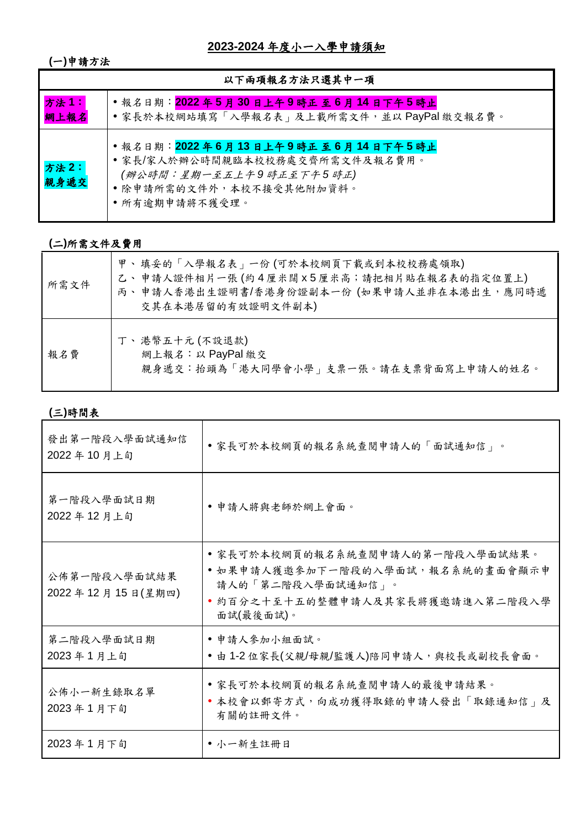**2023-2024** 年度小一入學申請須知

**(**一**)**申請方法

| 以下兩項報名方法只選其中一項 |                                                                                                                                             |  |  |  |
|----------------|---------------------------------------------------------------------------------------------------------------------------------------------|--|--|--|
| 方法1:<br>網上報名   | ·報名日期:2022年5月30日上午9時正至6月14日下午5時止<br>•家長於本校網站填寫「入學報名表」及上載所需文件,並以PayPal 繳交報名費。                                                                |  |  |  |
| 方法2:<br>親身遞交   | ·報名日期:2022年6月13日上午9時正至6月14日下午5時止<br>•家長/家人於辦公時間親臨本校校務處交齊所需文件及報名費用。<br>(辦公時間:星期一至五上午9時正至下午5時正)<br>• 除申請所需的文件外,本校不接受其他附加資料。<br>• 所有逾期申請將不獲受理。 |  |  |  |

# **(**二**)**所需文件及費用

| 所需文件 | 甲、填妥的「入學報名表」一份(可於本校網頁下載或到本校校務處領取)<br>乙、申請人證件相片一張(約4厘米闊 x5厘米高;請把相片貼在報名表的指定位置上)<br>丙、申請人香港出生證明書/香港身份證副本一份 (如果申請人並非在本港出生,應同時遞<br>交其在本港居留的有效證明文件副本) |
|------|-------------------------------------------------------------------------------------------------------------------------------------------------|
| 報名費  | 丁、港幣五十元 (不設退款)<br>網上報名:以PayPal 繳交<br>親身遞交:抬頭為「港大同學會小學」支票一張。請在支票背面寫上申請人的姓名。                                                                      |

# **(**三**)**時間表

| 發出第一階段入學面試通知信<br>2022年10月上旬      | • 家長可於本校網頁的報名系統查閱申請人的「面試通知信」。                                                                                                              |
|----------------------------------|--------------------------------------------------------------------------------------------------------------------------------------------|
| 第一階段入學面試日期<br>2022年12月上旬         | • 申請人將與老師於網上會面。                                                                                                                            |
| 公佈第一階段入學面試結果<br>2022年12月15日(星期四) | • 家長可於本校網頁的報名系統查閱申請人的第一階段入學面試結果。<br>• 如果申請人獲邀參加下一階段的入學面試,報名系統的畫面會顯示申<br>請人的「第二階段入學面試通知信」。<br>• 約百分之十至十五的整體申請人及其家長將獲邀請進入第二階段入學<br>面試(最後面試)。 |
| 第二階段入學面試日期<br>2023年1月上旬          | • 申請人參加小組面試。<br>• 由 1-2 位家長(父親/母親/監護人)陪同申請人,與校長或副校長會面。                                                                                     |
| 公佈小一新生錄取名單<br>2023年1月下旬          | • 家長可於本校網頁的報名系統查閱申請人的最後申請結果。<br>• 本校會以郵寄方式, 向成功獲得取錄的申請人發出「取錄通知信」及<br>有關的註冊文件。                                                              |
| 2023年1月下旬                        | • 小一新生註冊日                                                                                                                                  |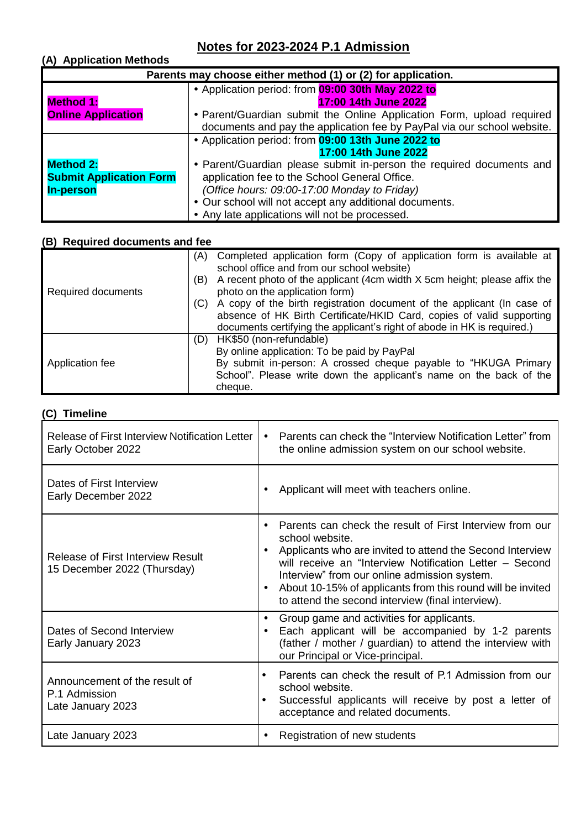# **Notes for 2023-2024 P.1 Admission**

# **(A) Application Methods**

| Parents may choose either method (1) or (2) for application. |                                                                         |  |  |
|--------------------------------------------------------------|-------------------------------------------------------------------------|--|--|
|                                                              | • Application period: from 09:00 30th May 2022 to                       |  |  |
| <b>Method 1:</b>                                             | 17:00 14th June 2022                                                    |  |  |
| <b>Online Application</b>                                    | • Parent/Guardian submit the Online Application Form, upload required   |  |  |
|                                                              | documents and pay the application fee by PayPal via our school website. |  |  |
|                                                              | • Application period: from 09:00 13th June 2022 to                      |  |  |
|                                                              | 17:00 14th June 2022                                                    |  |  |
| <b>Method 2:</b>                                             | • Parent/Guardian please submit in-person the required documents and    |  |  |
| <b>Submit Application Form</b>                               | application fee to the School General Office.                           |  |  |
| <b>In-person</b>                                             | (Office hours: 09:00-17:00 Monday to Friday)                            |  |  |
|                                                              | • Our school will not accept any additional documents.                  |  |  |
|                                                              | • Any late applications will not be processed.                          |  |  |

# **(B) Required documents and fee**

|                    | (A) | Completed application form (Copy of application form is available at<br>school office and from our school website) |
|--------------------|-----|--------------------------------------------------------------------------------------------------------------------|
|                    | (B) | A recent photo of the applicant (4cm width X 5cm height; please affix the                                          |
| Required documents |     | photo on the application form)                                                                                     |
|                    | (C) | A copy of the birth registration document of the applicant (In case of                                             |
|                    |     | absence of HK Birth Certificate/HKID Card, copies of valid supporting                                              |
|                    |     | documents certifying the applicant's right of abode in HK is required.)                                            |
|                    | (D) | HK\$50 (non-refundable)                                                                                            |
|                    |     | By online application: To be paid by PayPal                                                                        |
| Application fee    |     | By submit in-person: A crossed cheque payable to "HKUGA Primary                                                    |
|                    |     | School". Please write down the applicant's name on the back of the                                                 |
|                    |     | cheque.                                                                                                            |

### **(C) Timeline**

| Release of First Interview Notification Letter<br>Early October 2022    | Parents can check the "Interview Notification Letter" from<br>$\bullet$<br>the online admission system on our school website.                                                                                                                                                                                                                                                                                 |
|-------------------------------------------------------------------------|---------------------------------------------------------------------------------------------------------------------------------------------------------------------------------------------------------------------------------------------------------------------------------------------------------------------------------------------------------------------------------------------------------------|
| Dates of First Interview<br>Early December 2022                         | Applicant will meet with teachers online.<br>$\bullet$                                                                                                                                                                                                                                                                                                                                                        |
| <b>Release of First Interview Result</b><br>15 December 2022 (Thursday) | Parents can check the result of First Interview from our<br>$\bullet$<br>school website.<br>Applicants who are invited to attend the Second Interview<br>$\bullet$<br>will receive an "Interview Notification Letter - Second<br>Interview" from our online admission system.<br>About 10-15% of applicants from this round will be invited<br>$\bullet$<br>to attend the second interview (final interview). |
| Dates of Second Interview<br>Early January 2023                         | Group game and activities for applicants.<br>$\bullet$<br>Each applicant will be accompanied by 1-2 parents<br>$\bullet$<br>(father / mother / guardian) to attend the interview with<br>our Principal or Vice-principal.                                                                                                                                                                                     |
| Announcement of the result of<br>P.1 Admission<br>Late January 2023     | Parents can check the result of P.1 Admission from our<br>school website.<br>Successful applicants will receive by post a letter of<br>acceptance and related documents.                                                                                                                                                                                                                                      |
| Late January 2023                                                       | Registration of new students<br>$\bullet$                                                                                                                                                                                                                                                                                                                                                                     |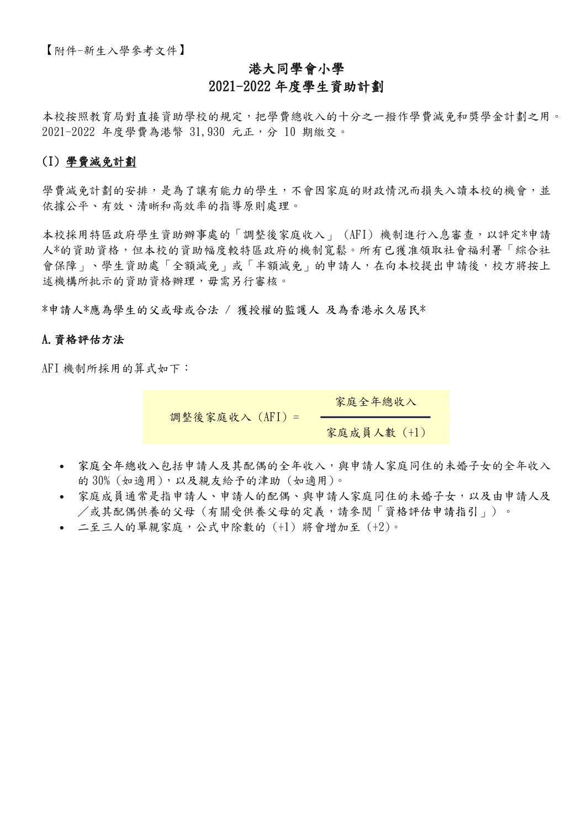# 港大同學會小學 2021-2022 年度學生資助計劃

本校按照教育局對直接資助學校的規定,把學費總收入的十分之一撥作學費減免和獎學金計劃之用。 2021-2022 年度學費為港幣 31,930 元正,分 10 期繳交。

# (I) 學費減免計劃

學費減免計劃的安排,是為了讓有能力的學生,不會因家庭的財政情況而損失入讀本校的機會,並 依據公平、有效、清晰和高效率的指導原則處理。

本校採用特區政府學生資助辦事處的「調整後家庭收入」 (AFI) 機制進行入息審查,以評定\*申請 人\*的資助資格,但本校的資助幅度較特區政府的機制寬鬆。所有已獲准領取社會福利署「綜合社 會保障」、學生資助處「全額減免」或「半額減免」的申請人,在向本校提出申請後,校方將按上 述機構所批示的資助資格辦理,毋需另行審核。

\*申請人\*應為學生的父或母或合法 / 獲授權的監護人 及為香港永久居民\*

#### A.資格評估方法

AFI 機制所採用的算式如下:

調整後家庭收入 (AFI) = 家庭全年總收入 家庭成員人數 (+1)

- [家庭全年總收入包](http://www.hkugaps.edu.hk/img/p/notice/zh_hk/02-2015-2016_Guidance_Notes_on_Application_for_Tuition_Fee_Remission_Scheme_cht.pdf#page=3)括申請人及其配偶的全年收入,與申請人家庭同住的未婚子女的全年收入 的 30% (如適用),以及親友給予的津助 (如適用)。
- 家庭成員通常是指申請人、申請人的配偶、與申請人家庭同住的未婚子女,以及由申請人及 /或其配偶供養的父母 (有關受供養父母的定義,請參閱[「資格評估申請指引」](http://www.hkugaps.edu.hk/img/p/notice/zh_hk/02-2015-2016_Guidance_Notes_on_Application_for_Tuition_Fee_Remission_Scheme_cht.pdf#page=2)) 。
- 二至三人的單親家庭,公式中除數的 (+1) 將會增加至 (+2)。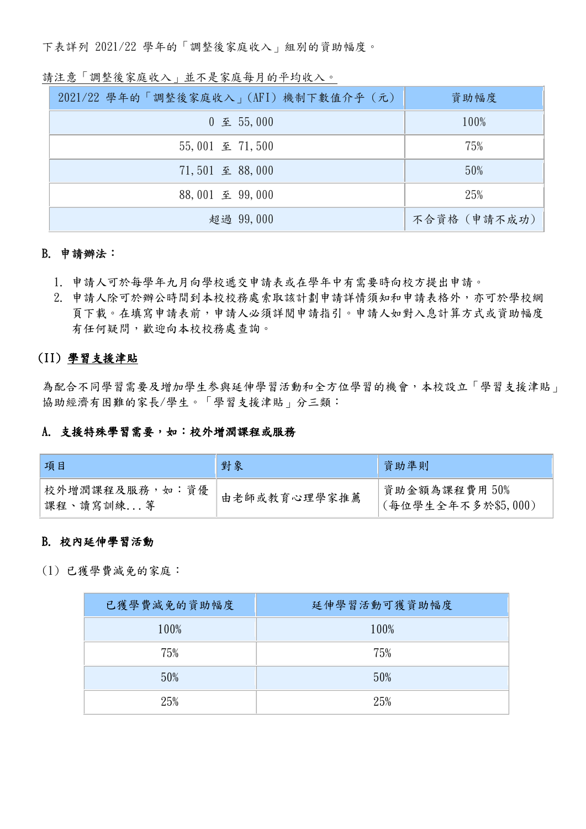下表詳列 2021/22 學年的「調整後家庭收入」組別的資助幅度。

# 請注意「調整後家庭收入」並不是家庭每月的平均收入。

| 2021/22 學年的「調整後家庭收入」(AFI) 機制下數值介乎 (元)   | 資助幅度         |
|-----------------------------------------|--------------|
| $0 \nsubseteq 55,000$                   | 100%         |
| $55,001 \n\mathrel{\mathcal{Z}} 71,500$ | 75%          |
| 71,501 至 88,000                         | 50%          |
| 88,001 至 99,000                         | 25%          |
| 超過 99,000                               | 不合資格 (申請不成功) |

## B. 申請辦法:

- 1. 申請人可於每學年九月向學校遞交申請表或在學年中有需要時向校方提出申請。
- 2. 申請人除可於辦公時間到本校校務處索取該計劃申請詳情須知和申請表格外,亦可於學校網 頁下載。在填寫申請表前,申請人必須詳閱申請指引。申請人如對入息計算方式或資助幅度 有任何疑問,歡迎向本校校務處查詢。

# (II) 學習支援津貼

為配合不同學習需要及增加學生参與延伸學習活動和全方位學習的機會,本校設立「學習支援津貼」 協助經濟有困難的家長/學生。「學習支援津貼」分三類:

#### A. 支援特殊學習需要,如:校外增潤課程或服務

| 項目                         | 對象           | 資助準則                                |
|----------------------------|--------------|-------------------------------------|
| 校外增潤課程及服務,如:資優<br>深程、讀寫訓練等 | 由老師或教育心理學家推薦 | 資助金額為課程費用 50%<br>(每位學生全年不多於\$5,000) |

#### B. 校內延伸學習活動

(1) 已獲學費減免的家庭:

| 已獲學費減免的資助幅度 | 延伸學習活動可獲資助幅度 |
|-------------|--------------|
| 100%        | 100%         |
| 75%         | 75%          |
| 50%         | 50%          |
| 25%         | 25%          |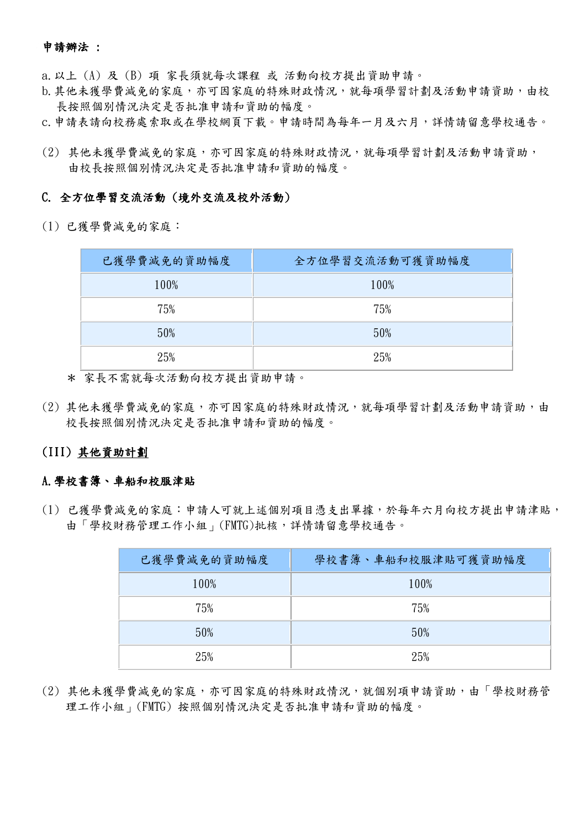#### 申請辦法 :

a.以上 (A) 及 (B) 項 家長須就每次課程 或 活動向校方提出資助申請。

- b. 其他未獲學費減免的家庭,亦可因家庭的特殊財政情況,就每項學習計劃及活動申請資助,由校 長按照個別情況決定是否批准申請和資助的幅度。
- c.申請表請向校務處索取或在學校網頁下載。申請時間為每年一月及六月,詳情請留意學校通告。
- (2) 其他未獲學費減免的家庭,亦可因家庭的特殊財政情況,就每項學習計劃及活動申請資助, 由校長按照個別情況決定是否批准申請和資助的幅度。

#### C. 全方位學習交流活動 (境外交流及校外活動)

(1) 已獲學費減免的家庭:

| 已獲學費減免的資助幅度 | 全方位學習交流活動可獲資助幅度 |
|-------------|-----------------|
| 100%        | 100%            |
| 75%         | 75%             |
| 50%         | 50%             |
| 25%         | 25%             |

\* 家長不需就每次活動向校方提出資助申請。

(2) 其他未獲學費減免的家庭,亦可因家庭的特殊財政情況,就每項學習計劃及活動申請資助,由 校長按照個別情況決定是否批准申請和資助的幅度。

# (III) 其他資助計劃

#### A.學校書簿、車船和校服津貼

(1) 已獲學費減免的家庭:申請人可就上述個別項目憑支出單據,於每年六月向校方提出申請津貼, 由「學校財務管理工作小組」(FMTG)批核,詳情請留意學校通告。

| 已獲學費減免的資助幅度 | 學校書簿、車船和校服津貼可獲資助幅度 |
|-------------|--------------------|
| 100%        | 100%               |
| 75%         | 75%                |
| 50%         | 50%                |
| 25%         | 25%                |

(2) 其他未獲學費減免的家庭,亦可因家庭的特殊財政情況,就個別項申請資助,由「學校財務管 理工作小組」(FMTG) 按照個別情況決定是否批准申請和資助的幅度。